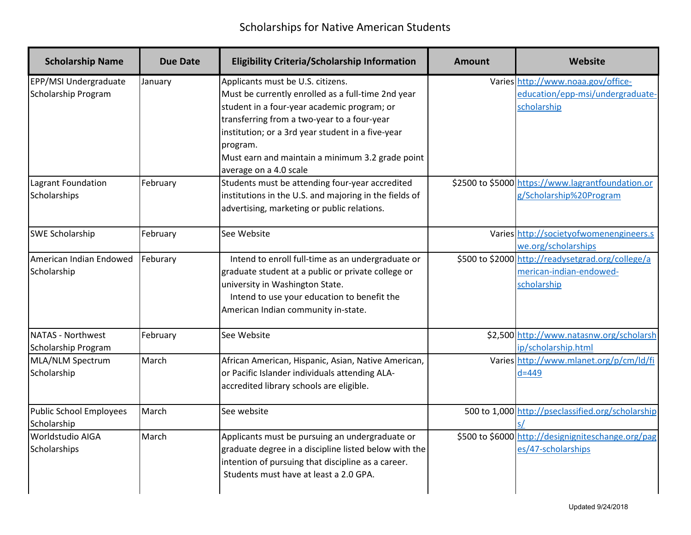| <b>Scholarship Name</b>                                                   | <b>Due Date</b>     | <b>Eligibility Criteria/Scholarship Information</b>                                                                                                                                                                                                                                                                                                                                     | <b>Amount</b> | Website                                                                                                                                                               |
|---------------------------------------------------------------------------|---------------------|-----------------------------------------------------------------------------------------------------------------------------------------------------------------------------------------------------------------------------------------------------------------------------------------------------------------------------------------------------------------------------------------|---------------|-----------------------------------------------------------------------------------------------------------------------------------------------------------------------|
| EPP/MSI Undergraduate<br><b>Scholarship Program</b><br>Lagrant Foundation | January<br>February | Applicants must be U.S. citizens.<br>Must be currently enrolled as a full-time 2nd year<br>student in a four-year academic program; or<br>transferring from a two-year to a four-year<br>institution; or a 3rd year student in a five-year<br>program.<br>Must earn and maintain a minimum 3.2 grade point<br>average on a 4.0 scale<br>Students must be attending four-year accredited |               | Varies http://www.noaa.gov/office-<br>education/epp-msi/undergraduate-<br>scholarship<br>\$2500 to \$5000 https://www.lagrantfoundation.or<br>g/Scholarship%20Program |
| Scholarships                                                              |                     | institutions in the U.S. and majoring in the fields of<br>advertising, marketing or public relations.                                                                                                                                                                                                                                                                                   |               |                                                                                                                                                                       |
| <b>SWE Scholarship</b>                                                    | February            | See Website                                                                                                                                                                                                                                                                                                                                                                             |               | Varies http://societyofwomenengineers.s<br>we.org/scholarships                                                                                                        |
| American Indian Endowed<br>Scholarship                                    | Feburary            | Intend to enroll full-time as an undergraduate or<br>graduate student at a public or private college or<br>university in Washington State.<br>Intend to use your education to benefit the<br>American Indian community in-state.                                                                                                                                                        |               | \$500 to \$2000 http://readysetgrad.org/college/a<br>merican-indian-endowed-<br>scholarship                                                                           |
| NATAS - Northwest<br>Scholarship Program                                  | February            | See Website                                                                                                                                                                                                                                                                                                                                                                             |               | \$2,500 http://www.natasnw.org/scholarsh<br>ip/scholarship.html                                                                                                       |
| MLA/NLM Spectrum<br>Scholarship                                           | March               | African American, Hispanic, Asian, Native American,<br>or Pacific Islander individuals attending ALA-<br>accredited library schools are eligible.                                                                                                                                                                                                                                       |               | Varies http://www.mlanet.org/p/cm/ld/fi<br>$d=449$                                                                                                                    |
| Public School Employees<br>Scholarship                                    | March               | See website                                                                                                                                                                                                                                                                                                                                                                             |               | 500 to 1,000 http://pseclassified.org/scholarship                                                                                                                     |
| <b>Worldstudio AIGA</b><br>Scholarships                                   | March               | Applicants must be pursuing an undergraduate or<br>graduate degree in a discipline listed below with the<br>intention of pursuing that discipline as a career.<br>Students must have at least a 2.0 GPA.                                                                                                                                                                                |               | \$500 to \$6000 http://designigniteschange.org/pag<br>es/47-scholarships                                                                                              |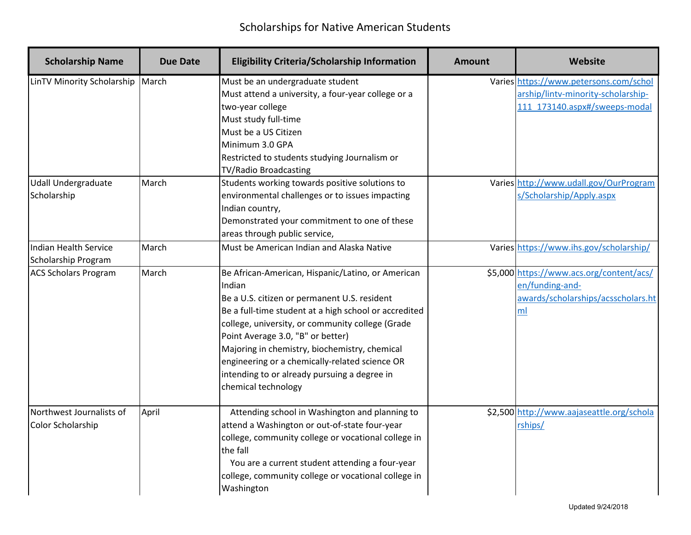| <b>Scholarship Name</b>                                                 | <b>Due Date</b> | <b>Eligibility Criteria/Scholarship Information</b>                                                                                                                                                                                                                                                                                                                                                                                     | <b>Amount</b> | Website                                                                                                                                                                             |
|-------------------------------------------------------------------------|-----------------|-----------------------------------------------------------------------------------------------------------------------------------------------------------------------------------------------------------------------------------------------------------------------------------------------------------------------------------------------------------------------------------------------------------------------------------------|---------------|-------------------------------------------------------------------------------------------------------------------------------------------------------------------------------------|
| LinTV Minority Scholarship<br><b>Udall Undergraduate</b><br>Scholarship | March<br>March  | Must be an undergraduate student<br>Must attend a university, a four-year college or a<br>two-year college<br>Must study full-time<br>Must be a US Citizen<br>Minimum 3.0 GPA<br>Restricted to students studying Journalism or<br>TV/Radio Broadcasting<br>Students working towards positive solutions to<br>environmental challenges or to issues impacting<br>Indian country,<br>Demonstrated your commitment to one of these         |               | Varies https://www.petersons.com/schol<br>arship/lintv-minority-scholarship-<br>111 173140.aspx#/sweeps-modal<br>Varies http://www.udall.gov/OurProgram<br>s/Scholarship/Apply.aspx |
| Indian Health Service<br>Scholarship Program                            | March           | areas through public service,<br>Must be American Indian and Alaska Native                                                                                                                                                                                                                                                                                                                                                              |               | Varies https://www.ihs.gov/scholarship/                                                                                                                                             |
| <b>ACS Scholars Program</b>                                             | March           | Be African-American, Hispanic/Latino, or American<br>Indian<br>Be a U.S. citizen or permanent U.S. resident<br>Be a full-time student at a high school or accredited<br>college, university, or community college (Grade<br>Point Average 3.0, "B" or better)<br>Majoring in chemistry, biochemistry, chemical<br>engineering or a chemically-related science OR<br>intending to or already pursuing a degree in<br>chemical technology |               | \$5,000 https://www.acs.org/content/acs/<br>en/funding-and-<br>awards/scholarships/acsscholars.ht<br>ml                                                                             |
| Northwest Journalists of<br><b>Color Scholarship</b>                    | April           | Attending school in Washington and planning to<br>attend a Washington or out-of-state four-year<br>college, community college or vocational college in<br>the fall<br>You are a current student attending a four-year<br>college, community college or vocational college in<br>Washington                                                                                                                                              |               | \$2,500 http://www.aajaseattle.org/schola<br>rships/                                                                                                                                |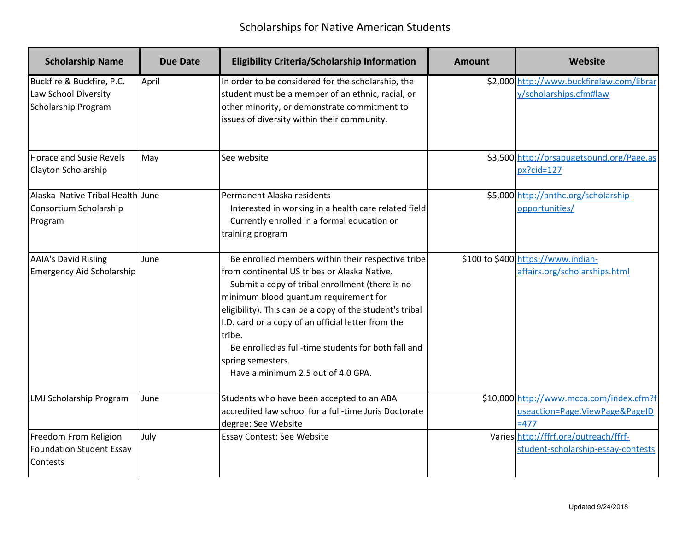| <b>Scholarship Name</b>                                                         | <b>Due Date</b> | <b>Eligibility Criteria/Scholarship Information</b>                                                                                                                                                                                                                                                                                                                                                                                         | <b>Amount</b> | Website                                                                              |
|---------------------------------------------------------------------------------|-----------------|---------------------------------------------------------------------------------------------------------------------------------------------------------------------------------------------------------------------------------------------------------------------------------------------------------------------------------------------------------------------------------------------------------------------------------------------|---------------|--------------------------------------------------------------------------------------|
| Buckfire & Buckfire, P.C.<br>Law School Diversity<br><b>Scholarship Program</b> | April           | In order to be considered for the scholarship, the<br>student must be a member of an ethnic, racial, or<br>other minority, or demonstrate commitment to<br>issues of diversity within their community.                                                                                                                                                                                                                                      |               | \$2,000 http://www.buckfirelaw.com/librar<br>y/scholarships.cfm#law                  |
| <b>Horace and Susie Revels</b><br>Clayton Scholarship                           | May             | See website                                                                                                                                                                                                                                                                                                                                                                                                                                 |               | \$3,500 http://prsapugetsound.org/Page.as<br>$px?cid=127$                            |
| Alaska Native Tribal Health June<br>Consortium Scholarship<br>Program           |                 | Permanent Alaska residents<br>Interested in working in a health care related field<br>Currently enrolled in a formal education or<br>training program                                                                                                                                                                                                                                                                                       |               | \$5,000 http://anthc.org/scholarship-<br>opportunities/                              |
| <b>AAIA's David Risling</b><br><b>Emergency Aid Scholarship</b>                 | June            | Be enrolled members within their respective tribe<br>from continental US tribes or Alaska Native.<br>Submit a copy of tribal enrollment (there is no<br>minimum blood quantum requirement for<br>eligibility). This can be a copy of the student's tribal<br>I.D. card or a copy of an official letter from the<br>tribe.<br>Be enrolled as full-time students for both fall and<br>spring semesters.<br>Have a minimum 2.5 out of 4.0 GPA. |               | \$100 to \$400 https://www.indian-<br>affairs.org/scholarships.html                  |
| <b>LMJ Scholarship Program</b>                                                  | June            | Students who have been accepted to an ABA<br>accredited law school for a full-time Juris Doctorate<br>degree: See Website                                                                                                                                                                                                                                                                                                                   |               | \$10,000 http://www.mcca.com/index.cfm?f<br>useaction=Page.ViewPage&PageID<br>$=477$ |
| Freedom From Religion<br><b>Foundation Student Essay</b><br><b>Contests</b>     | July            | Essay Contest: See Website                                                                                                                                                                                                                                                                                                                                                                                                                  |               | Varies http://ffrf.org/outreach/ffrf-<br>student-scholarship-essay-contests          |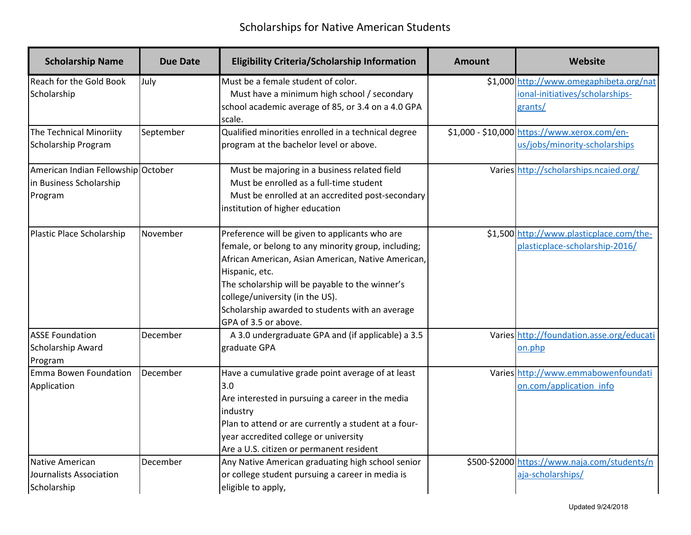| <b>Scholarship Name</b>                                                  | <b>Due Date</b> | <b>Eligibility Criteria/Scholarship Information</b>                                                                                                                                                                                                                                                                                            | <b>Amount</b> | Website                                                                               |
|--------------------------------------------------------------------------|-----------------|------------------------------------------------------------------------------------------------------------------------------------------------------------------------------------------------------------------------------------------------------------------------------------------------------------------------------------------------|---------------|---------------------------------------------------------------------------------------|
| Reach for the Gold Book<br>Scholarship                                   | July            | Must be a female student of color.<br>Must have a minimum high school / secondary<br>school academic average of 85, or 3.4 on a 4.0 GPA<br>scale.                                                                                                                                                                                              |               | \$1,000 http://www.omegaphibeta.org/nat<br>ional-initiatives/scholarships-<br>grants/ |
| The Technical Minoriity<br>Scholarship Program                           | September       | Qualified minorities enrolled in a technical degree<br>program at the bachelor level or above.                                                                                                                                                                                                                                                 |               | \$1,000 - \$10,000 https://www.xerox.com/en-<br>us/jobs/minority-scholarships         |
| American Indian Fellowship October<br>in Business Scholarship<br>Program |                 | Must be majoring in a business related field<br>Must be enrolled as a full-time student<br>Must be enrolled at an accredited post-secondary<br>institution of higher education                                                                                                                                                                 |               | Varies http://scholarships.ncaied.org/                                                |
| Plastic Place Scholarship                                                | November        | Preference will be given to applicants who are<br>female, or belong to any minority group, including;<br>African American, Asian American, Native American,<br>Hispanic, etc.<br>The scholarship will be payable to the winner's<br>college/university (in the US).<br>Scholarship awarded to students with an average<br>GPA of 3.5 or above. |               | \$1,500 http://www.plasticplace.com/the-<br>plasticplace-scholarship-2016/            |
| <b>ASSE Foundation</b><br><b>Scholarship Award</b><br>Program            | December        | A 3.0 undergraduate GPA and (if applicable) a 3.5<br>graduate GPA                                                                                                                                                                                                                                                                              |               | Varies http://foundation.asse.org/educati<br>on.php                                   |
| Emma Bowen Foundation<br>Application                                     | December        | Have a cumulative grade point average of at least<br>3.0<br>Are interested in pursuing a career in the media<br>industry<br>Plan to attend or are currently a student at a four-<br>year accredited college or university<br>Are a U.S. citizen or permanent resident                                                                          |               | Varies http://www.emmabowenfoundati<br>on.com/application info                        |
| Native American<br>Journalists Association<br>Scholarship                | December        | Any Native American graduating high school senior<br>or college student pursuing a career in media is<br>eligible to apply,                                                                                                                                                                                                                    |               | \$500-\$2000 https://www.naja.com/students/n<br>aja-scholarships/                     |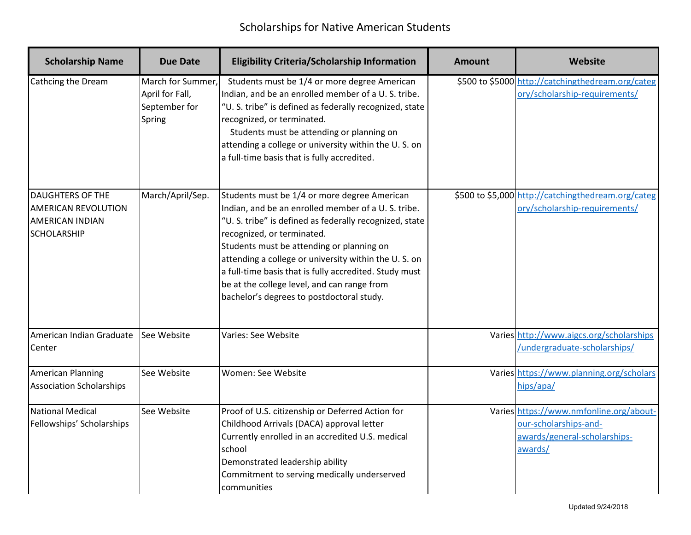| <b>Scholarship Name</b>                                                                               | <b>Due Date</b>                                                 | <b>Eligibility Criteria/Scholarship Information</b>                                                                                                                                                                                                                                                                                                                                                                                                    | <b>Amount</b> | Website                                                                                                     |
|-------------------------------------------------------------------------------------------------------|-----------------------------------------------------------------|--------------------------------------------------------------------------------------------------------------------------------------------------------------------------------------------------------------------------------------------------------------------------------------------------------------------------------------------------------------------------------------------------------------------------------------------------------|---------------|-------------------------------------------------------------------------------------------------------------|
| Cathcing the Dream                                                                                    | March for Summer,<br>April for Fall,<br>September for<br>Spring | Students must be 1/4 or more degree American<br>Indian, and be an enrolled member of a U.S. tribe.<br>"U. S. tribe" is defined as federally recognized, state<br>recognized, or terminated.<br>Students must be attending or planning on<br>attending a college or university within the U.S. on<br>a full-time basis that is fully accredited.                                                                                                        |               | \$500 to \$5000 http://catchingthedream.org/categ<br>ory/scholarship-requirements/                          |
| <b>DAUGHTERS OF THE</b><br><b>AMERICAN REVOLUTION</b><br><b>AMERICAN INDIAN</b><br><b>SCHOLARSHIP</b> | March/April/Sep.                                                | Students must be 1/4 or more degree American<br>Indian, and be an enrolled member of a U.S. tribe.<br>"U. S. tribe" is defined as federally recognized, state<br>recognized, or terminated.<br>Students must be attending or planning on<br>attending a college or university within the U.S. on<br>a full-time basis that is fully accredited. Study must<br>be at the college level, and can range from<br>bachelor's degrees to postdoctoral study. |               | \$500 to \$5,000 http://catchingthedream.org/categ<br>ory/scholarship-requirements/                         |
| American Indian Graduate<br>Center                                                                    | See Website                                                     | Varies: See Website                                                                                                                                                                                                                                                                                                                                                                                                                                    |               | Varies http://www.aigcs.org/scholarships<br>/undergraduate-scholarships/                                    |
| American Planning<br><b>Association Scholarships</b>                                                  | See Website                                                     | Women: See Website                                                                                                                                                                                                                                                                                                                                                                                                                                     |               | Varies https://www.planning.org/scholars<br>hips/apa/                                                       |
| National Medical<br>Fellowships' Scholarships                                                         | See Website                                                     | Proof of U.S. citizenship or Deferred Action for<br>Childhood Arrivals (DACA) approval letter<br>Currently enrolled in an accredited U.S. medical<br>school<br>Demonstrated leadership ability<br>Commitment to serving medically underserved<br>communities                                                                                                                                                                                           |               | Varies https://www.nmfonline.org/about-<br>our-scholarships-and-<br>awards/general-scholarships-<br>awards/ |